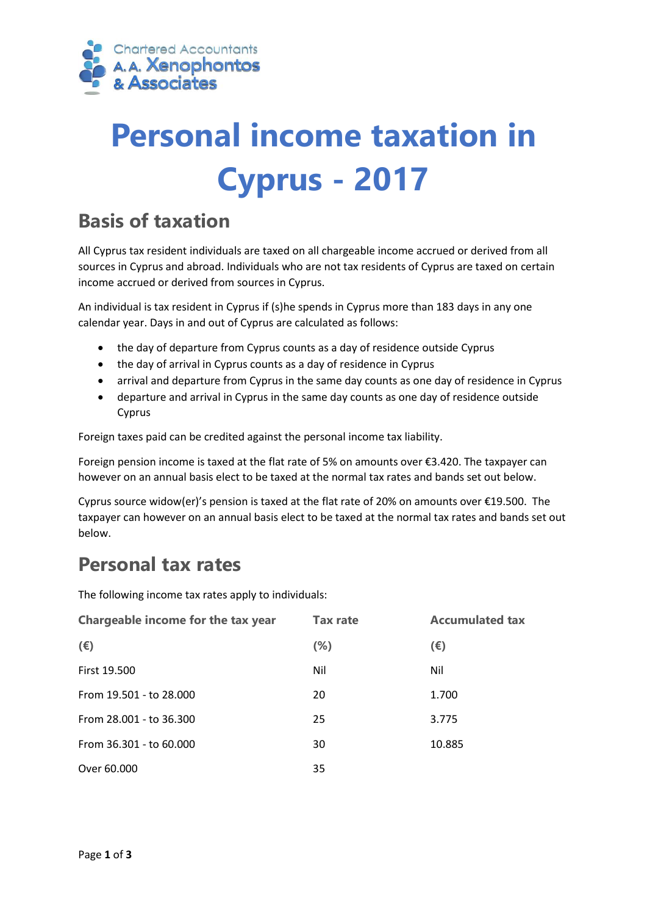

# **Personal income taxation in Cyprus - 2017**

## **Basis of taxation**

All Cyprus tax resident individuals are taxed on all chargeable income accrued or derived from all sources in Cyprus and abroad. Individuals who are not tax residents of Cyprus are taxed on certain income accrued or derived from sources in Cyprus.

An individual is tax resident in Cyprus if (s)he spends in Cyprus more than 183 days in any one calendar year. Days in and out of Cyprus are calculated as follows:

- the day of departure from Cyprus counts as a day of residence outside Cyprus
- the day of arrival in Cyprus counts as a day of residence in Cyprus
- arrival and departure from Cyprus in the same day counts as one day of residence in Cyprus
- departure and arrival in Cyprus in the same day counts as one day of residence outside Cyprus

Foreign taxes paid can be credited against the personal income tax liability.

Foreign pension income is taxed at the flat rate of 5% on amounts over €3.420. The taxpayer can however on an annual basis elect to be taxed at the normal tax rates and bands set out below.

Cyprus source widow(er)'s pension is taxed at the flat rate of 20% on amounts over €19.500. The taxpayer can however on an annual basis elect to be taxed at the normal tax rates and bands set out below.

## **Personal tax rates**

The following income tax rates apply to individuals:

| Chargeable income for the tax year | <b>Tax rate</b> | <b>Accumulated tax</b> |
|------------------------------------|-----------------|------------------------|
| $(\epsilon)$                       | $(\%)$          | $(\epsilon)$           |
| <b>First 19.500</b>                | Nil             | Nil                    |
| From 19.501 - to 28.000            | 20              | 1.700                  |
| From 28.001 - to 36.300            | 25              | 3.775                  |
| From 36.301 - to 60.000            | 30              | 10.885                 |
| Over 60.000                        | 35              |                        |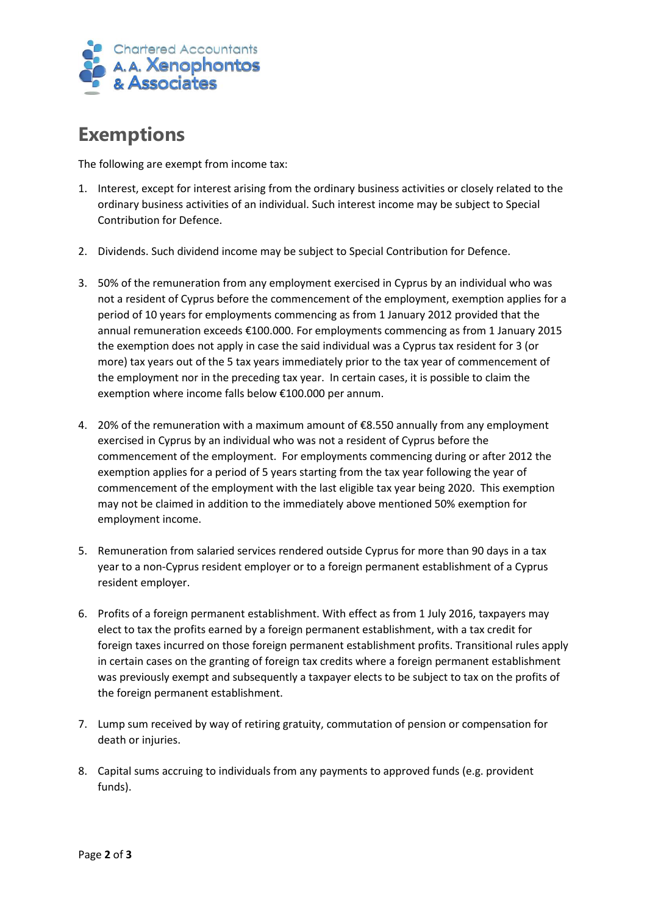

## **Exemptions**

The following are exempt from income tax:

- 1. Interest, except for interest arising from the ordinary business activities or closely related to the ordinary business activities of an individual. Such interest income may be subject to Special Contribution for Defence.
- 2. Dividends. Such dividend income may be subject to Special Contribution for Defence.
- 3. 50% of the remuneration from any employment exercised in Cyprus by an individual who was not a resident of Cyprus before the commencement of the employment, exemption applies for a period of 10 years for employments commencing as from 1 January 2012 provided that the annual remuneration exceeds €100.000. For employments commencing as from 1 January 2015 the exemption does not apply in case the said individual was a Cyprus tax resident for 3 (or more) tax years out of the 5 tax years immediately prior to the tax year of commencement of the employment nor in the preceding tax year. In certain cases, it is possible to claim the exemption where income falls below €100.000 per annum.
- 4. 20% of the remuneration with a maximum amount of €8.550 annually from any employment exercised in Cyprus by an individual who was not a resident of Cyprus before the commencement of the employment. For employments commencing during or after 2012 the exemption applies for a period of 5 years starting from the tax year following the year of commencement of the employment with the last eligible tax year being 2020. This exemption may not be claimed in addition to the immediately above mentioned 50% exemption for employment income.
- 5. Remuneration from salaried services rendered outside Cyprus for more than 90 days in a tax year to a non-Cyprus resident employer or to a foreign permanent establishment of a Cyprus resident employer.
- 6. Profits of a foreign permanent establishment. With effect as from 1 July 2016, taxpayers may elect to tax the profits earned by a foreign permanent establishment, with a tax credit for foreign taxes incurred on those foreign permanent establishment profits. Transitional rules apply in certain cases on the granting of foreign tax credits where a foreign permanent establishment was previously exempt and subsequently a taxpayer elects to be subject to tax on the profits of the foreign permanent establishment.
- 7. Lump sum received by way of retiring gratuity, commutation of pension or compensation for death or injuries.
- 8. Capital sums accruing to individuals from any payments to approved funds (e.g. provident funds).